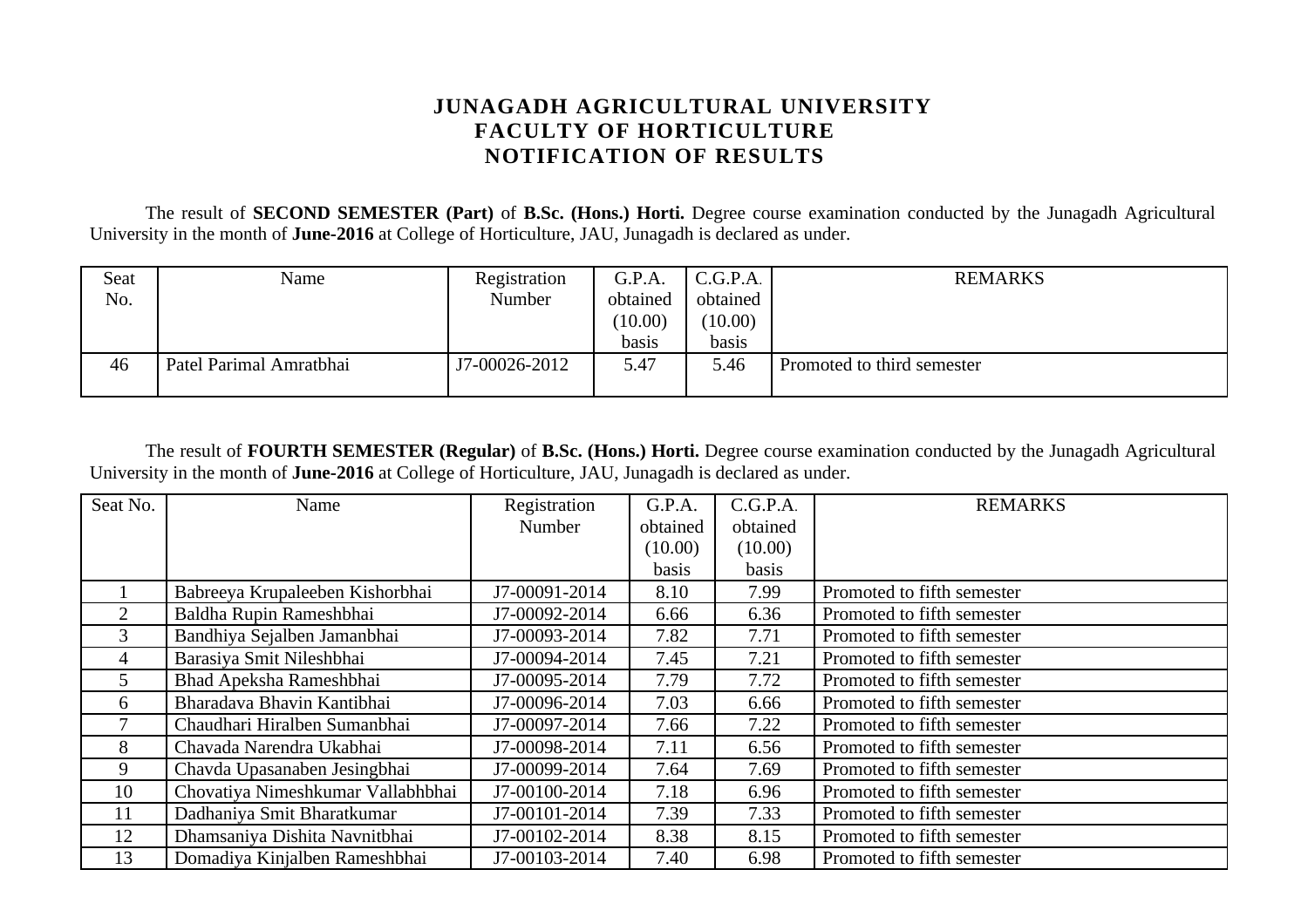## **JUNAGADH AGRICULTURAL UNIVERSITY FACULTY OF HORTICULTURE NOTIFICATION OF RESULTS**

The result of **SECOND SEMESTER (Part)** of **B.Sc. (Hons.) Horti.** Degree course examination conducted by the Junagadh Agricultural University in the month of **June-2016** at College of Horticulture, JAU, Junagadh is declared as under.

| Seat | Name                    | Registration  | G.P.A.   | C.G.P.A. | <b>REMARKS</b>             |
|------|-------------------------|---------------|----------|----------|----------------------------|
| No.  |                         | Number        | obtained | obtained |                            |
|      |                         |               | (10.00)  | (10.00)  |                            |
|      |                         |               | basis    | basis    |                            |
| 46   | Patel Parimal Amratbhai | J7-00026-2012 | 5.47     | 5.46     | Promoted to third semester |
|      |                         |               |          |          |                            |

The result of **FOURTH SEMESTER (Regular)** of **B.Sc. (Hons.) Horti.** Degree course examination conducted by the Junagadh Agricultural University in the month of **June-2016** at College of Horticulture, JAU, Junagadh is declared as under.

| Seat No.       | Name                              | Registration  | G.P.A.   | C.G.P.A. | <b>REMARKS</b>             |
|----------------|-----------------------------------|---------------|----------|----------|----------------------------|
|                |                                   | Number        | obtained | obtained |                            |
|                |                                   |               | (10.00)  | (10.00)  |                            |
|                |                                   |               | basis    | basis    |                            |
|                | Babreeya Krupaleeben Kishorbhai   | J7-00091-2014 | 8.10     | 7.99     | Promoted to fifth semester |
| $\overline{2}$ | Baldha Rupin Rameshbhai           | J7-00092-2014 | 6.66     | 6.36     | Promoted to fifth semester |
| 3              | Bandhiya Sejalben Jamanbhai       | J7-00093-2014 | 7.82     | 7.71     | Promoted to fifth semester |
| 4              | Barasiya Smit Nileshbhai          | J7-00094-2014 | 7.45     | 7.21     | Promoted to fifth semester |
| 5.             | Bhad Apeksha Rameshbhai           | J7-00095-2014 | 7.79     | 7.72     | Promoted to fifth semester |
| 6              | Bharadava Bhavin Kantibhai        | J7-00096-2014 | 7.03     | 6.66     | Promoted to fifth semester |
|                | Chaudhari Hiralben Sumanbhai      | J7-00097-2014 | 7.66     | 7.22     | Promoted to fifth semester |
| 8              | Chavada Narendra Ukabhai          | J7-00098-2014 | 7.11     | 6.56     | Promoted to fifth semester |
| 9              | Chavda Upasanaben Jesingbhai      | J7-00099-2014 | 7.64     | 7.69     | Promoted to fifth semester |
| 10             | Chovatiya Nimeshkumar Vallabhbhai | J7-00100-2014 | 7.18     | 6.96     | Promoted to fifth semester |
| 11             | Dadhaniya Smit Bharatkumar        | J7-00101-2014 | 7.39     | 7.33     | Promoted to fifth semester |
| 12             | Dhamsaniya Dishita Navnitbhai     | J7-00102-2014 | 8.38     | 8.15     | Promoted to fifth semester |
| 13             | Domadiya Kinjalben Rameshbhai     | J7-00103-2014 | 7.40     | 6.98     | Promoted to fifth semester |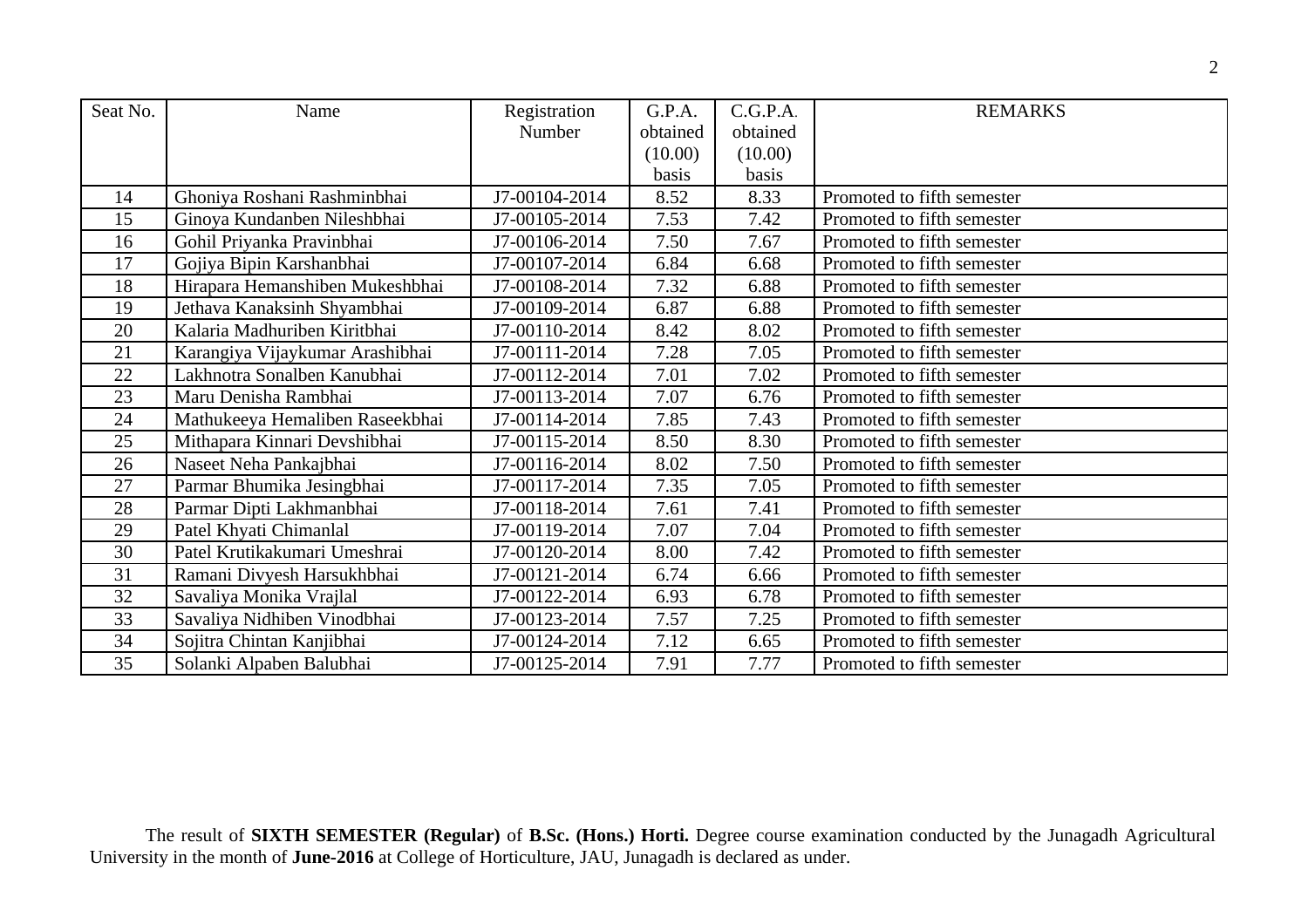| Seat No. | Name                            | Registration  | G.P.A.   | C.G.P.A. | <b>REMARKS</b>             |
|----------|---------------------------------|---------------|----------|----------|----------------------------|
|          |                                 | Number        | obtained | obtained |                            |
|          |                                 |               | (10.00)  | (10.00)  |                            |
|          |                                 |               | basis    | basis    |                            |
| 14       | Ghoniya Roshani Rashminbhai     | J7-00104-2014 | 8.52     | 8.33     | Promoted to fifth semester |
| 15       | Ginoya Kundanben Nileshbhai     | J7-00105-2014 | 7.53     | 7.42     | Promoted to fifth semester |
| 16       | Gohil Priyanka Pravinbhai       | J7-00106-2014 | 7.50     | 7.67     | Promoted to fifth semester |
| 17       | Gojiya Bipin Karshanbhai        | J7-00107-2014 | 6.84     | 6.68     | Promoted to fifth semester |
| 18       | Hirapara Hemanshiben Mukeshbhai | J7-00108-2014 | 7.32     | 6.88     | Promoted to fifth semester |
| 19       | Jethava Kanaksinh Shyambhai     | J7-00109-2014 | 6.87     | 6.88     | Promoted to fifth semester |
| 20       | Kalaria Madhuriben Kiritbhai    | J7-00110-2014 | 8.42     | 8.02     | Promoted to fifth semester |
| 21       | Karangiya Vijaykumar Arashibhai | J7-00111-2014 | 7.28     | 7.05     | Promoted to fifth semester |
| 22       | Lakhnotra Sonalben Kanubhai     | J7-00112-2014 | 7.01     | 7.02     | Promoted to fifth semester |
| 23       | Maru Denisha Rambhai            | J7-00113-2014 | 7.07     | 6.76     | Promoted to fifth semester |
| 24       | Mathukeeya Hemaliben Raseekbhai | J7-00114-2014 | 7.85     | 7.43     | Promoted to fifth semester |
| 25       | Mithapara Kinnari Devshibhai    | J7-00115-2014 | 8.50     | 8.30     | Promoted to fifth semester |
| 26       | Naseet Neha Pankajbhai          | J7-00116-2014 | 8.02     | 7.50     | Promoted to fifth semester |
| 27       | Parmar Bhumika Jesingbhai       | J7-00117-2014 | 7.35     | 7.05     | Promoted to fifth semester |
| 28       | Parmar Dipti Lakhmanbhai        | J7-00118-2014 | 7.61     | 7.41     | Promoted to fifth semester |
| 29       | Patel Khyati Chimanlal          | J7-00119-2014 | 7.07     | 7.04     | Promoted to fifth semester |
| 30       | Patel Krutikakumari Umeshrai    | J7-00120-2014 | 8.00     | 7.42     | Promoted to fifth semester |
| 31       | Ramani Divyesh Harsukhbhai      | J7-00121-2014 | 6.74     | 6.66     | Promoted to fifth semester |
| 32       | Savaliya Monika Vrajlal         | J7-00122-2014 | 6.93     | 6.78     | Promoted to fifth semester |
| 33       | Savaliya Nidhiben Vinodbhai     | J7-00123-2014 | 7.57     | 7.25     | Promoted to fifth semester |
| 34       | Sojitra Chintan Kanjibhai       | J7-00124-2014 | 7.12     | 6.65     | Promoted to fifth semester |
| 35       | Solanki Alpaben Balubhai        | J7-00125-2014 | 7.91     | 7.77     | Promoted to fifth semester |

The result of **SIXTH SEMESTER (Regular)** of **B.Sc. (Hons.) Horti.** Degree course examination conducted by the Junagadh Agricultural University in the month of **June-2016** at College of Horticulture, JAU, Junagadh is declared as under.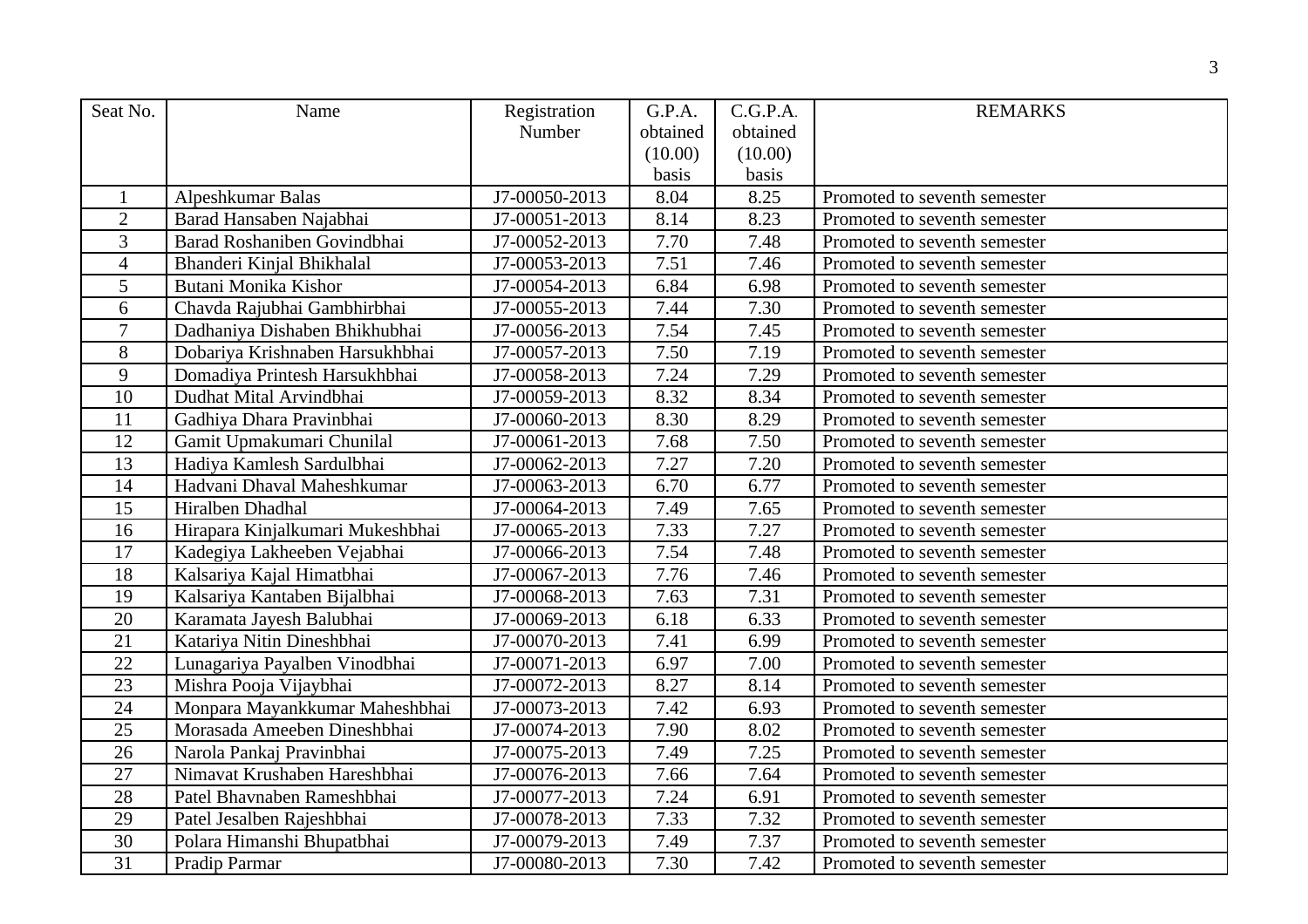| Seat No.       | Name                             | Registration  | G.P.A.   | C.G.P.A. | <b>REMARKS</b>               |
|----------------|----------------------------------|---------------|----------|----------|------------------------------|
|                |                                  | Number        | obtained | obtained |                              |
|                |                                  |               | (10.00)  | (10.00)  |                              |
|                |                                  |               | basis    | basis    |                              |
| $\mathbf{1}$   | Alpeshkumar Balas                | J7-00050-2013 | 8.04     | 8.25     | Promoted to seventh semester |
| $\overline{2}$ | Barad Hansaben Najabhai          | J7-00051-2013 | 8.14     | 8.23     | Promoted to seventh semester |
| 3              | Barad Roshaniben Govindbhai      | J7-00052-2013 | 7.70     | 7.48     | Promoted to seventh semester |
| $\overline{4}$ | Bhanderi Kinjal Bhikhalal        | J7-00053-2013 | 7.51     | 7.46     | Promoted to seventh semester |
| 5              | Butani Monika Kishor             | J7-00054-2013 | 6.84     | 6.98     | Promoted to seventh semester |
| 6              | Chavda Rajubhai Gambhirbhai      | J7-00055-2013 | 7.44     | 7.30     | Promoted to seventh semester |
| $\overline{7}$ | Dadhaniya Dishaben Bhikhubhai    | J7-00056-2013 | 7.54     | 7.45     | Promoted to seventh semester |
| 8              | Dobariya Krishnaben Harsukhbhai  | J7-00057-2013 | 7.50     | 7.19     | Promoted to seventh semester |
| 9              | Domadiya Printesh Harsukhbhai    | J7-00058-2013 | 7.24     | 7.29     | Promoted to seventh semester |
| 10             | Dudhat Mital Arvindbhai          | J7-00059-2013 | 8.32     | 8.34     | Promoted to seventh semester |
| 11             | Gadhiya Dhara Pravinbhai         | J7-00060-2013 | 8.30     | 8.29     | Promoted to seventh semester |
| 12             | Gamit Upmakumari Chunilal        | J7-00061-2013 | 7.68     | 7.50     | Promoted to seventh semester |
| 13             | Hadiya Kamlesh Sardulbhai        | J7-00062-2013 | 7.27     | 7.20     | Promoted to seventh semester |
| 14             | Hadvani Dhaval Maheshkumar       | J7-00063-2013 | 6.70     | 6.77     | Promoted to seventh semester |
| 15             | Hiralben Dhadhal                 | J7-00064-2013 | 7.49     | 7.65     | Promoted to seventh semester |
| 16             | Hirapara Kinjalkumari Mukeshbhai | J7-00065-2013 | 7.33     | 7.27     | Promoted to seventh semester |
| 17             | Kadegiya Lakheeben Vejabhai      | J7-00066-2013 | 7.54     | 7.48     | Promoted to seventh semester |
| 18             | Kalsariya Kajal Himatbhai        | J7-00067-2013 | 7.76     | 7.46     | Promoted to seventh semester |
| 19             | Kalsariya Kantaben Bijalbhai     | J7-00068-2013 | 7.63     | 7.31     | Promoted to seventh semester |
| 20             | Karamata Jayesh Balubhai         | J7-00069-2013 | 6.18     | 6.33     | Promoted to seventh semester |
| 21             | Katariya Nitin Dineshbhai        | J7-00070-2013 | 7.41     | 6.99     | Promoted to seventh semester |
| 22             | Lunagariya Payalben Vinodbhai    | J7-00071-2013 | 6.97     | 7.00     | Promoted to seventh semester |
| 23             | Mishra Pooja Vijaybhai           | J7-00072-2013 | 8.27     | 8.14     | Promoted to seventh semester |
| 24             | Monpara Mayankkumar Maheshbhai   | J7-00073-2013 | 7.42     | 6.93     | Promoted to seventh semester |
| 25             | Morasada Ameeben Dineshbhai      | J7-00074-2013 | 7.90     | 8.02     | Promoted to seventh semester |
| 26             | Narola Pankaj Pravinbhai         | J7-00075-2013 | 7.49     | 7.25     | Promoted to seventh semester |
| 27             | Nimavat Krushaben Hareshbhai     | J7-00076-2013 | 7.66     | 7.64     | Promoted to seventh semester |
| 28             | Patel Bhavnaben Rameshbhai       | J7-00077-2013 | 7.24     | 6.91     | Promoted to seventh semester |
| 29             | Patel Jesalben Rajeshbhai        | J7-00078-2013 | 7.33     | 7.32     | Promoted to seventh semester |
| 30             | Polara Himanshi Bhupatbhai       | J7-00079-2013 | 7.49     | 7.37     | Promoted to seventh semester |
| 31             | Pradip Parmar                    | J7-00080-2013 | 7.30     | 7.42     | Promoted to seventh semester |
|                |                                  |               |          |          |                              |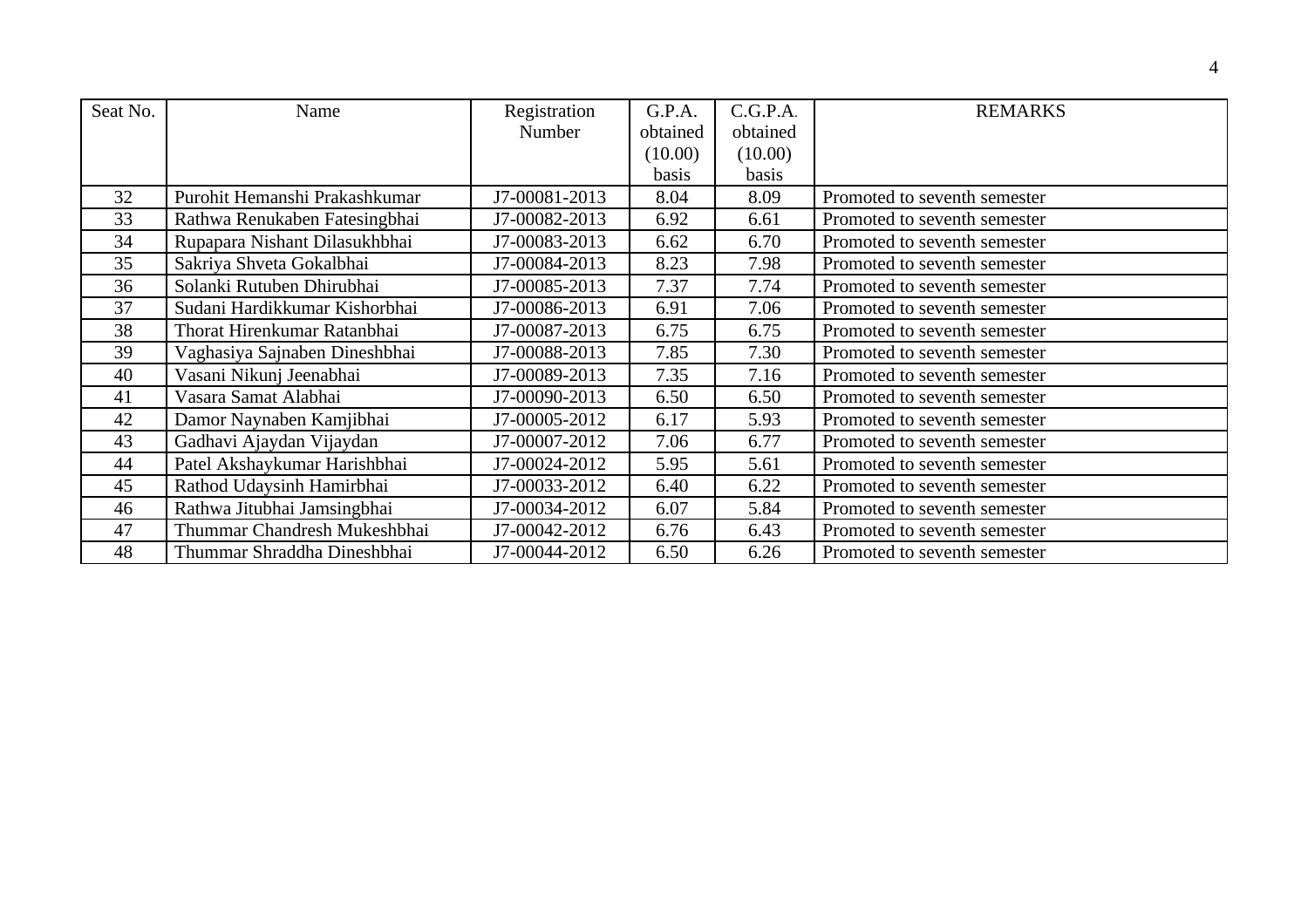| Seat No. | Name                          | Registration  | G.P.A.   | C.G.P.A. | <b>REMARKS</b>               |
|----------|-------------------------------|---------------|----------|----------|------------------------------|
|          |                               | <b>Number</b> | obtained | obtained |                              |
|          |                               |               | (10.00)  | (10.00)  |                              |
|          |                               |               | basis    | basis    |                              |
| 32       | Purohit Hemanshi Prakashkumar | J7-00081-2013 | 8.04     | 8.09     | Promoted to seventh semester |
| 33       | Rathwa Renukaben Fatesingbhai | J7-00082-2013 | 6.92     | 6.61     | Promoted to seventh semester |
| 34       | Rupapara Nishant Dilasukhbhai | J7-00083-2013 | 6.62     | 6.70     | Promoted to seventh semester |
| 35       | Sakriya Shveta Gokalbhai      | J7-00084-2013 | 8.23     | 7.98     | Promoted to seventh semester |
| 36       | Solanki Rutuben Dhirubhai     | J7-00085-2013 | 7.37     | 7.74     | Promoted to seventh semester |
| 37       | Sudani Hardikkumar Kishorbhai | J7-00086-2013 | 6.91     | 7.06     | Promoted to seventh semester |
| 38       | Thorat Hirenkumar Ratanbhai   | J7-00087-2013 | 6.75     | 6.75     | Promoted to seventh semester |
| 39       | Vaghasiya Sajnaben Dineshbhai | J7-00088-2013 | 7.85     | 7.30     | Promoted to seventh semester |
| 40       | Vasani Nikunj Jeenabhai       | J7-00089-2013 | 7.35     | 7.16     | Promoted to seventh semester |
| 41       | Vasara Samat Alabhai          | J7-00090-2013 | 6.50     | 6.50     | Promoted to seventh semester |
| 42       | Damor Naynaben Kamjibhai      | J7-00005-2012 | 6.17     | 5.93     | Promoted to seventh semester |
| 43       | Gadhavi Ajaydan Vijaydan      | J7-00007-2012 | 7.06     | 6.77     | Promoted to seventh semester |
| 44       | Patel Akshaykumar Harishbhai  | J7-00024-2012 | 5.95     | 5.61     | Promoted to seventh semester |
| 45       | Rathod Udaysinh Hamirbhai     | J7-00033-2012 | 6.40     | 6.22     | Promoted to seventh semester |
| 46       | Rathwa Jitubhai Jamsingbhai   | J7-00034-2012 | 6.07     | 5.84     | Promoted to seventh semester |
| 47       | Thummar Chandresh Mukeshbhai  | J7-00042-2012 | 6.76     | 6.43     | Promoted to seventh semester |
| 48       | Thummar Shraddha Dineshbhai   | J7-00044-2012 | 6.50     | 6.26     | Promoted to seventh semester |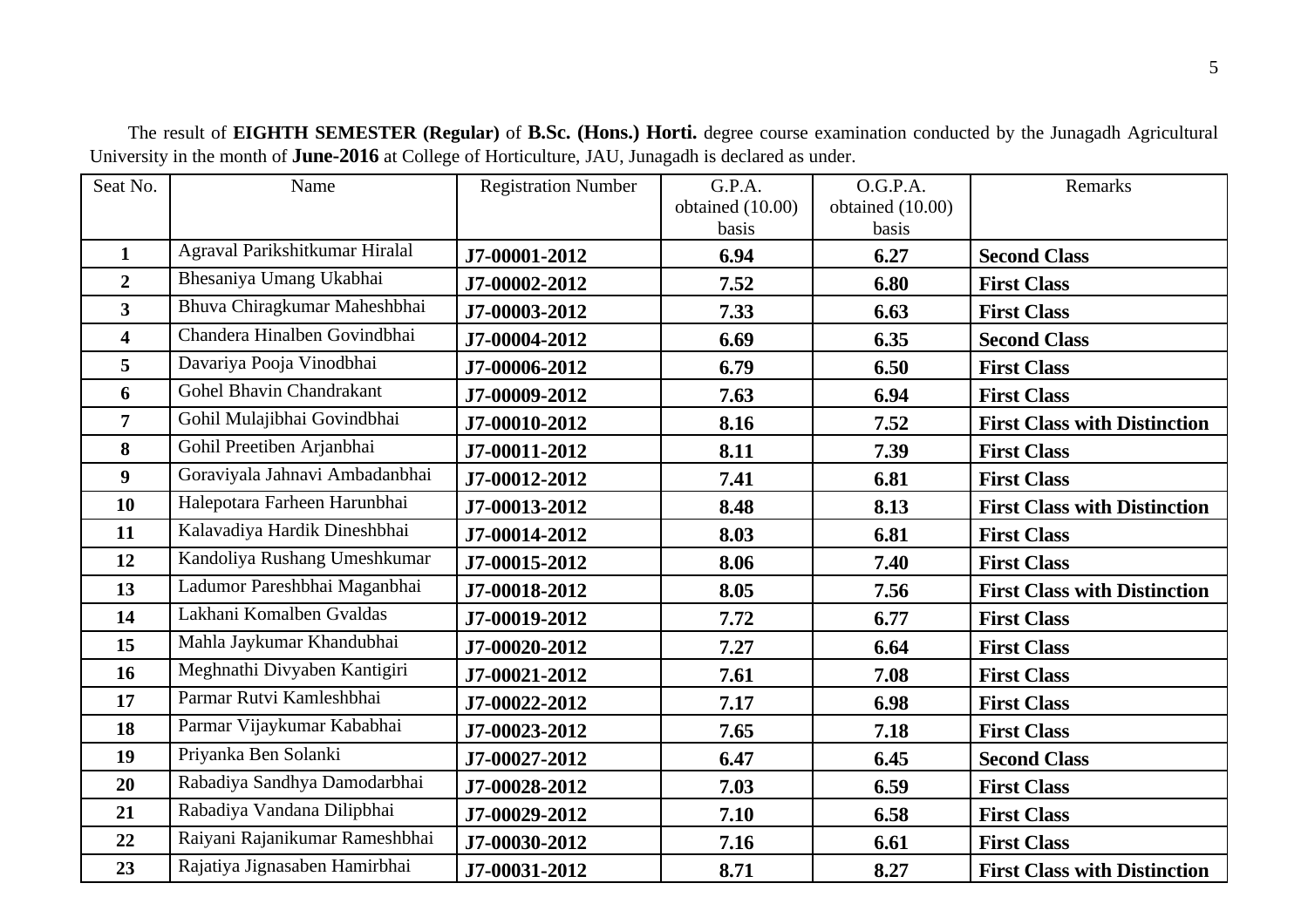| Seat No.                | Name                           | <b>Registration Number</b> | G.P.A.           | O.G.P.A.         | Remarks                             |
|-------------------------|--------------------------------|----------------------------|------------------|------------------|-------------------------------------|
|                         |                                |                            | obtained (10.00) | obtained (10.00) |                                     |
|                         |                                |                            | basis            | basis            |                                     |
| $\mathbf{1}$            | Agraval Parikshitkumar Hiralal | J7-00001-2012              | 6.94             | 6.27             | <b>Second Class</b>                 |
| $\overline{2}$          | Bhesaniya Umang Ukabhai        | J7-00002-2012              | 7.52             | 6.80             | <b>First Class</b>                  |
| $\mathbf{3}$            | Bhuva Chiragkumar Maheshbhai   | J7-00003-2012              | 7.33             | 6.63             | <b>First Class</b>                  |
| $\overline{\mathbf{4}}$ | Chandera Hinalben Govindbhai   | J7-00004-2012              | 6.69             | 6.35             | <b>Second Class</b>                 |
| $5\overline{)}$         | Davariya Pooja Vinodbhai       | J7-00006-2012              | 6.79             | 6.50             | <b>First Class</b>                  |
| 6                       | Gohel Bhavin Chandrakant       | J7-00009-2012              | 7.63             | 6.94             | <b>First Class</b>                  |
| $\overline{7}$          | Gohil Mulajibhai Govindbhai    | J7-00010-2012              | 8.16             | 7.52             | <b>First Class with Distinction</b> |
| 8                       | Gohil Preetiben Arjanbhai      | J7-00011-2012              | 8.11             | 7.39             | <b>First Class</b>                  |
| 9                       | Goraviyala Jahnavi Ambadanbhai | J7-00012-2012              | 7.41             | 6.81             | <b>First Class</b>                  |
| 10                      | Halepotara Farheen Harunbhai   | J7-00013-2012              | 8.48             | 8.13             | <b>First Class with Distinction</b> |
| 11                      | Kalavadiya Hardik Dineshbhai   | J7-00014-2012              | 8.03             | 6.81             | <b>First Class</b>                  |
| 12                      | Kandoliya Rushang Umeshkumar   | J7-00015-2012              | 8.06             | 7.40             | <b>First Class</b>                  |
| 13                      | Ladumor Pareshbhai Maganbhai   | J7-00018-2012              | 8.05             | 7.56             | <b>First Class with Distinction</b> |
| 14                      | Lakhani Komalben Gvaldas       | J7-00019-2012              | 7.72             | 6.77             | <b>First Class</b>                  |
| 15                      | Mahla Jaykumar Khandubhai      | J7-00020-2012              | 7.27             | 6.64             | <b>First Class</b>                  |
| 16                      | Meghnathi Divyaben Kantigiri   | J7-00021-2012              | 7.61             | 7.08             | <b>First Class</b>                  |
| 17                      | Parmar Rutvi Kamleshbhai       | J7-00022-2012              | 7.17             | 6.98             | <b>First Class</b>                  |
| 18                      | Parmar Vijaykumar Kababhai     | J7-00023-2012              | 7.65             | 7.18             | <b>First Class</b>                  |
| 19                      | Priyanka Ben Solanki           | J7-00027-2012              | 6.47             | 6.45             | <b>Second Class</b>                 |
| 20                      | Rabadiya Sandhya Damodarbhai   | J7-00028-2012              | 7.03             | 6.59             | <b>First Class</b>                  |
| 21                      | Rabadiya Vandana Dilipbhai     | J7-00029-2012              | 7.10             | 6.58             | <b>First Class</b>                  |
| 22                      | Raiyani Rajanikumar Rameshbhai | J7-00030-2012              | 7.16             | 6.61             | <b>First Class</b>                  |
| 23                      | Rajatiya Jignasaben Hamirbhai  | J7-00031-2012              | 8.71             | 8.27             | <b>First Class with Distinction</b> |

The result of **EIGHTH SEMESTER (Regular)** of **B.Sc. (Hons.) Horti.** degree course examination conducted by the Junagadh Agricultural University in the month of **June-2016** at College of Horticulture, JAU, Junagadh is declared as under.